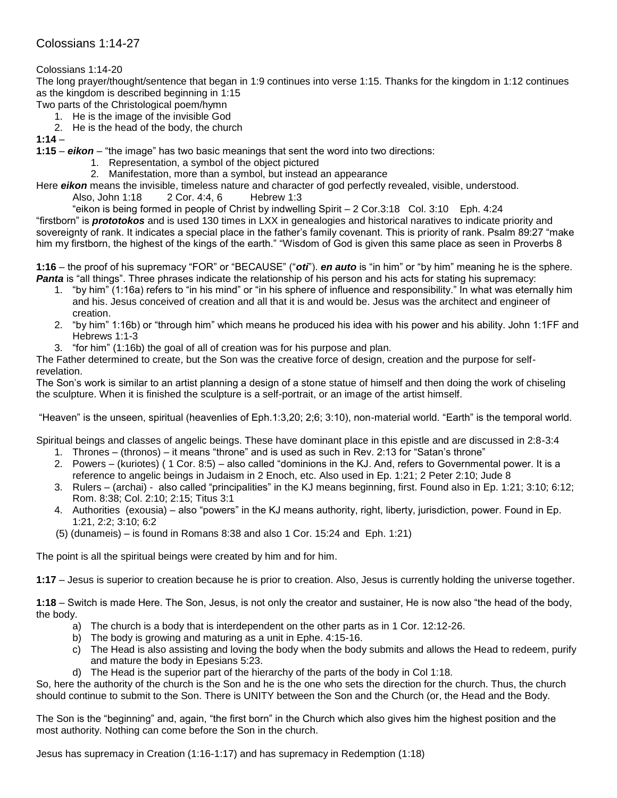## Colossians 1:14-27

## Colossians 1:14-20

The long prayer/thought/sentence that began in 1:9 continues into verse 1:15. Thanks for the kingdom in 1:12 continues as the kingdom is described beginning in 1:15

- Two parts of the Christological poem/hymn
	- 1. He is the image of the invisible God 2. He is the head of the body, the church

**1:14** –

**1:15** – *eikon* – "the image" has two basic meanings that sent the word into two directions:

- 1. Representation, a symbol of the object pictured
- 2. Manifestation, more than a symbol, but instead an appearance

Here *eikon* means the invisible, timeless nature and character of god perfectly revealed, visible, understood.

Also, John 1:18 2 Cor. 4:4, 6 Hebrew 1:3

"eikon is being formed in people of Christ by indwelling Spirit – 2 Cor.3:18 Col. 3:10 Eph. 4:24

"firstborn" is *prototokos* and is used 130 times in LXX in genealogies and historical naratives to indicate priority and sovereignty of rank. It indicates a special place in the father's family covenant. This is priority of rank. Psalm 89:27 "make him my firstborn, the highest of the kings of the earth." "Wisdom of God is given this same place as seen in Proverbs 8

**1:16** – the proof of his supremacy "FOR" or "BECAUSE" ("*oti*"). *en auto* is "in him" or "by him" meaning he is the sphere. *Panta* is "all things". Three phrases indicate the relationship of his person and his acts for stating his supremacy:

- 1. "by him" (1:16a) refers to "in his mind" or "in his sphere of influence and responsibility." In what was eternally him and his. Jesus conceived of creation and all that it is and would be. Jesus was the architect and engineer of creation.
- 2. "by him" 1:16b) or "through him" which means he produced his idea with his power and his ability. John 1:1FF and Hebrews 1:1-3
- 3. "for him" (1:16b) the goal of all of creation was for his purpose and plan.

The Father determined to create, but the Son was the creative force of design, creation and the purpose for selfrevelation.

The Son's work is similar to an artist planning a design of a stone statue of himself and then doing the work of chiseling the sculpture. When it is finished the sculpture is a self-portrait, or an image of the artist himself.

"Heaven" is the unseen, spiritual (heavenlies of Eph.1:3,20; 2;6; 3:10), non-material world. "Earth" is the temporal world.

Spiritual beings and classes of angelic beings. These have dominant place in this epistle and are discussed in 2:8-3:4

- 1. Thrones (thronos) it means "throne" and is used as such in Rev. 2:13 for "Satan's throne"
- 2. Powers (kuriotes) ( 1 Cor. 8:5) also called "dominions in the KJ. And, refers to Governmental power. It is a reference to angelic beings in Judaism in 2 Enoch, etc. Also used in Ep. 1:21; 2 Peter 2:10; Jude 8
- 3. Rulers (archai) also called "principalities" in the KJ means beginning, first. Found also in Ep. 1:21; 3:10; 6:12; Rom. 8:38; Col. 2:10; 2:15; Titus 3:1
- 4. Authorities (exousia) also "powers" in the KJ means authority, right, liberty, jurisdiction, power. Found in Ep. 1:21, 2:2; 3:10; 6:2
- (5) (dunameis) is found in Romans 8:38 and also 1 Cor. 15:24 and Eph. 1:21)

The point is all the spiritual beings were created by him and for him.

**1:17** – Jesus is superior to creation because he is prior to creation. Also, Jesus is currently holding the universe together.

**1:18** – Switch is made Here. The Son, Jesus, is not only the creator and sustainer, He is now also "the head of the body, the body.

- a) The church is a body that is interdependent on the other parts as in 1 Cor. 12:12-26.
- b) The body is growing and maturing as a unit in Ephe. 4:15-16.
- c) The Head is also assisting and loving the body when the body submits and allows the Head to redeem, purify and mature the body in Epesians 5:23.
- d) The Head is the superior part of the hierarchy of the parts of the body in Col 1:18.

So, here the authority of the church is the Son and he is the one who sets the direction for the church. Thus, the church should continue to submit to the Son. There is UNITY between the Son and the Church (or, the Head and the Body.

The Son is the "beginning" and, again, "the first born" in the Church which also gives him the highest position and the most authority. Nothing can come before the Son in the church.

Jesus has supremacy in Creation (1:16-1:17) and has supremacy in Redemption (1:18)